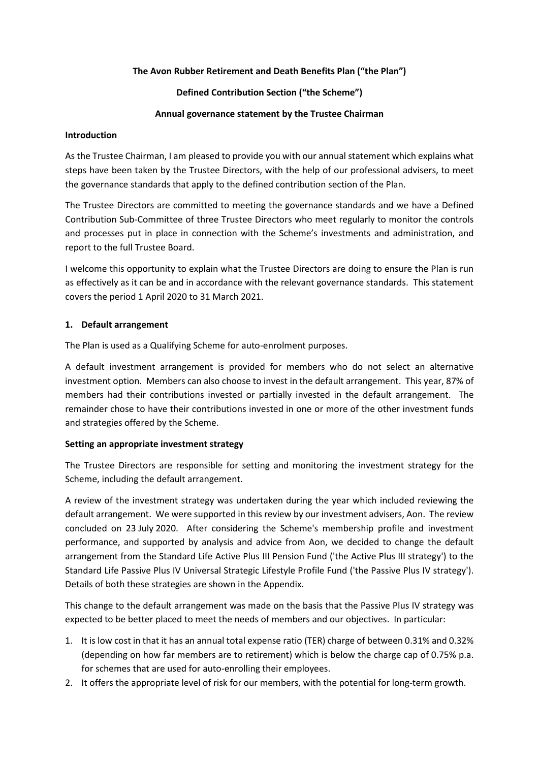### **The Avon Rubber Retirement and Death Benefits Plan ("the Plan")**

## **Defined Contribution Section ("the Scheme")**

### **Annual governance statement by the Trustee Chairman**

#### **Introduction**

As the Trustee Chairman, I am pleased to provide you with our annual statement which explains what steps have been taken by the Trustee Directors, with the help of our professional advisers, to meet the governance standards that apply to the defined contribution section of the Plan.

The Trustee Directors are committed to meeting the governance standards and we have a Defined Contribution Sub-Committee of three Trustee Directors who meet regularly to monitor the controls and processes put in place in connection with the Scheme's investments and administration, and report to the full Trustee Board.

I welcome this opportunity to explain what the Trustee Directors are doing to ensure the Plan is run as effectively as it can be and in accordance with the relevant governance standards. This statement covers the period 1 April 2020 to 31 March 2021.

### **1. Default arrangement**

The Plan is used as a Qualifying Scheme for auto-enrolment purposes.

A default investment arrangement is provided for members who do not select an alternative investment option. Members can also choose to invest in the default arrangement. This year, 87% of members had their contributions invested or partially invested in the default arrangement. The remainder chose to have their contributions invested in one or more of the other investment funds and strategies offered by the Scheme.

### **Setting an appropriate investment strategy**

The Trustee Directors are responsible for setting and monitoring the investment strategy for the Scheme, including the default arrangement.

A review of the investment strategy was undertaken during the year which included reviewing the default arrangement. We were supported in this review by our investment advisers, Aon. The review concluded on 23 July 2020. After considering the Scheme's membership profile and investment performance, and supported by analysis and advice from Aon, we decided to change the default arrangement from the Standard Life Active Plus III Pension Fund ('the Active Plus III strategy') to the Standard Life Passive Plus IV Universal Strategic Lifestyle Profile Fund ('the Passive Plus IV strategy'). Details of both these strategies are shown in the Appendix.

This change to the default arrangement was made on the basis that the Passive Plus IV strategy was expected to be better placed to meet the needs of members and our objectives. In particular:

- 1. It is low cost in that it has an annual total expense ratio (TER) charge of between 0.31% and 0.32% (depending on how far members are to retirement) which is below the charge cap of 0.75% p.a. for schemes that are used for auto-enrolling their employees.
- 2. It offers the appropriate level of risk for our members, with the potential for long-term growth.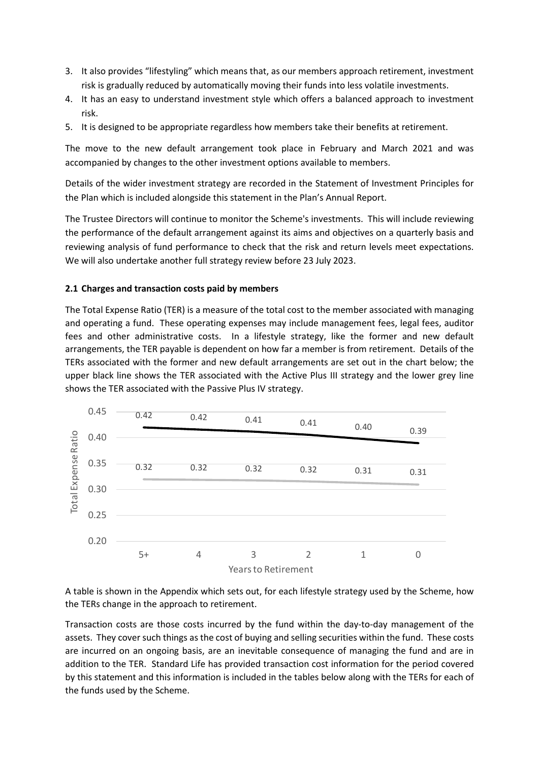- 3. It also provides "lifestyling" which means that, as our members approach retirement, investment risk is gradually reduced by automatically moving their funds into less volatile investments.
- 4. It has an easy to understand investment style which offers a balanced approach to investment risk.
- 5. It is designed to be appropriate regardless how members take their benefits at retirement.

The move to the new default arrangement took place in February and March 2021 and was accompanied by changes to the other investment options available to members.

Details of the wider investment strategy are recorded in the Statement of Investment Principles for the Plan which is included alongside this statement in the Plan's Annual Report.

The Trustee Directors will continue to monitor the Scheme's investments. This will include reviewing the performance of the default arrangement against its aims and objectives on a quarterly basis and reviewing analysis of fund performance to check that the risk and return levels meet expectations. We will also undertake another full strategy review before 23 July 2023.

### **2.1 Charges and transaction costs paid by members**

The Total Expense Ratio (TER) is a measure of the total cost to the member associated with managing and operating a fund. These operating expenses may include management fees, legal fees, auditor fees and other administrative costs. In a lifestyle strategy, like the former and new default arrangements, the TER payable is dependent on how far a member is from retirement. Details of the TERs associated with the former and new default arrangements are set out in the chart below; the upper black line shows the TER associated with the Active Plus III strategy and the lower grey line shows the TER associated with the Passive Plus IV strategy.



A table is shown in the Appendix which sets out, for each lifestyle strategy used by the Scheme, how the TERs change in the approach to retirement.

Transaction costs are those costs incurred by the fund within the day-to-day management of the assets. They cover such things as the cost of buying and selling securities within the fund. These costs are incurred on an ongoing basis, are an inevitable consequence of managing the fund and are in addition to the TER. Standard Life has provided transaction cost information for the period covered by this statement and this information is included in the tables below along with the TERs for each of the funds used by the Scheme.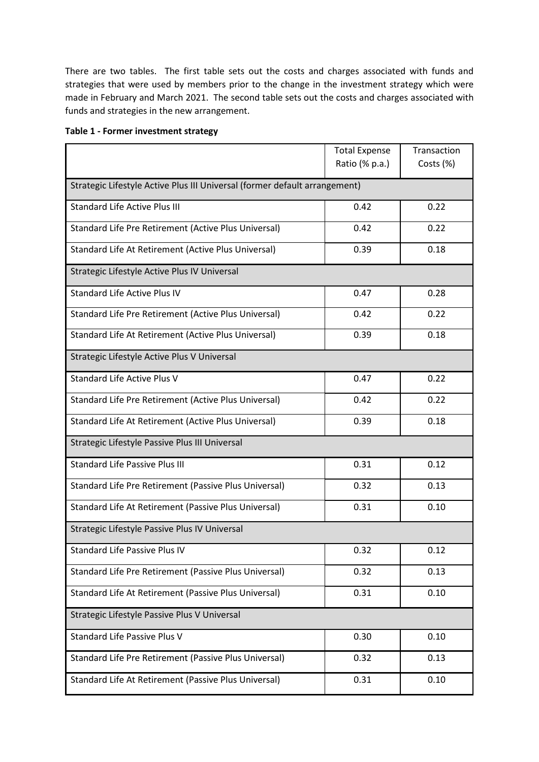There are two tables. The first table sets out the costs and charges associated with funds and strategies that were used by members prior to the change in the investment strategy which were made in February and March 2021. The second table sets out the costs and charges associated with funds and strategies in the new arrangement.

|                                                                            | <b>Total Expense</b><br>Ratio (% p.a.) | Transaction<br>Costs (%) |  |  |  |  |
|----------------------------------------------------------------------------|----------------------------------------|--------------------------|--|--|--|--|
| Strategic Lifestyle Active Plus III Universal (former default arrangement) |                                        |                          |  |  |  |  |
| <b>Standard Life Active Plus III</b>                                       | 0.42                                   | 0.22                     |  |  |  |  |
| Standard Life Pre Retirement (Active Plus Universal)                       | 0.42                                   | 0.22                     |  |  |  |  |
| Standard Life At Retirement (Active Plus Universal)                        | 0.39                                   | 0.18                     |  |  |  |  |
| Strategic Lifestyle Active Plus IV Universal                               |                                        |                          |  |  |  |  |
| <b>Standard Life Active Plus IV</b>                                        | 0.47                                   | 0.28                     |  |  |  |  |
| Standard Life Pre Retirement (Active Plus Universal)                       | 0.42                                   | 0.22                     |  |  |  |  |
| Standard Life At Retirement (Active Plus Universal)                        | 0.39                                   | 0.18                     |  |  |  |  |
| Strategic Lifestyle Active Plus V Universal                                |                                        |                          |  |  |  |  |
| Standard Life Active Plus V                                                | 0.47                                   | 0.22                     |  |  |  |  |
| Standard Life Pre Retirement (Active Plus Universal)                       | 0.42                                   | 0.22                     |  |  |  |  |
| Standard Life At Retirement (Active Plus Universal)                        | 0.39                                   | 0.18                     |  |  |  |  |
| Strategic Lifestyle Passive Plus III Universal                             |                                        |                          |  |  |  |  |
| <b>Standard Life Passive Plus III</b>                                      | 0.31                                   | 0.12                     |  |  |  |  |
| Standard Life Pre Retirement (Passive Plus Universal)                      | 0.32                                   | 0.13                     |  |  |  |  |
| Standard Life At Retirement (Passive Plus Universal)                       | 0.31                                   | 0.10                     |  |  |  |  |
| Strategic Lifestyle Passive Plus IV Universal                              |                                        |                          |  |  |  |  |
| Standard Life Passive Plus IV                                              | 0.32                                   | 0.12                     |  |  |  |  |
| Standard Life Pre Retirement (Passive Plus Universal)                      | 0.32                                   | 0.13                     |  |  |  |  |
| Standard Life At Retirement (Passive Plus Universal)                       | 0.31                                   | 0.10                     |  |  |  |  |
| Strategic Lifestyle Passive Plus V Universal                               |                                        |                          |  |  |  |  |
| Standard Life Passive Plus V                                               | 0.30                                   | 0.10                     |  |  |  |  |
| Standard Life Pre Retirement (Passive Plus Universal)                      | 0.32                                   | 0.13                     |  |  |  |  |
| Standard Life At Retirement (Passive Plus Universal)                       | 0.31                                   | 0.10                     |  |  |  |  |

### **Table 1 - Former investment strategy**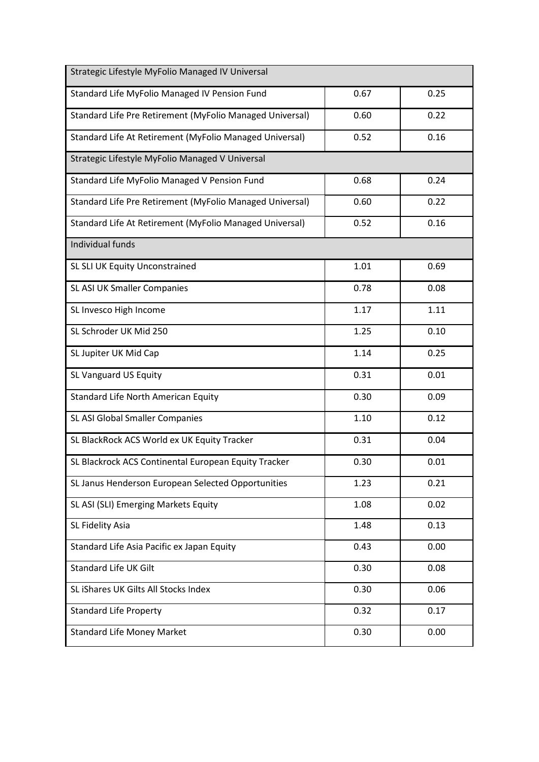| Strategic Lifestyle MyFolio Managed IV Universal         |      |      |
|----------------------------------------------------------|------|------|
| Standard Life MyFolio Managed IV Pension Fund            | 0.67 | 0.25 |
| Standard Life Pre Retirement (MyFolio Managed Universal) | 0.60 | 0.22 |
| Standard Life At Retirement (MyFolio Managed Universal)  | 0.52 | 0.16 |
| Strategic Lifestyle MyFolio Managed V Universal          |      |      |
| Standard Life MyFolio Managed V Pension Fund             | 0.68 | 0.24 |
| Standard Life Pre Retirement (MyFolio Managed Universal) | 0.60 | 0.22 |
| Standard Life At Retirement (MyFolio Managed Universal)  | 0.52 | 0.16 |
| Individual funds                                         |      |      |
| SL SLI UK Equity Unconstrained                           | 1.01 | 0.69 |
| SL ASI UK Smaller Companies                              | 0.78 | 0.08 |
| SL Invesco High Income                                   | 1.17 | 1.11 |
| SL Schroder UK Mid 250                                   | 1.25 | 0.10 |
| SL Jupiter UK Mid Cap                                    | 1.14 | 0.25 |
| SL Vanguard US Equity                                    | 0.31 | 0.01 |
| Standard Life North American Equity                      | 0.30 | 0.09 |
| SL ASI Global Smaller Companies                          | 1.10 | 0.12 |
| SL BlackRock ACS World ex UK Equity Tracker              | 0.31 | 0.04 |
| SL Blackrock ACS Continental European Equity Tracker     | 0.30 | 0.01 |
| SL Janus Henderson European Selected Opportunities       | 1.23 | 0.21 |
| SL ASI (SLI) Emerging Markets Equity                     | 1.08 | 0.02 |
| SL Fidelity Asia                                         | 1.48 | 0.13 |
| Standard Life Asia Pacific ex Japan Equity               | 0.43 | 0.00 |
| <b>Standard Life UK Gilt</b>                             | 0.30 | 0.08 |
| SL iShares UK Gilts All Stocks Index                     | 0.30 | 0.06 |
| <b>Standard Life Property</b>                            | 0.32 | 0.17 |
| <b>Standard Life Money Market</b>                        | 0.30 | 0.00 |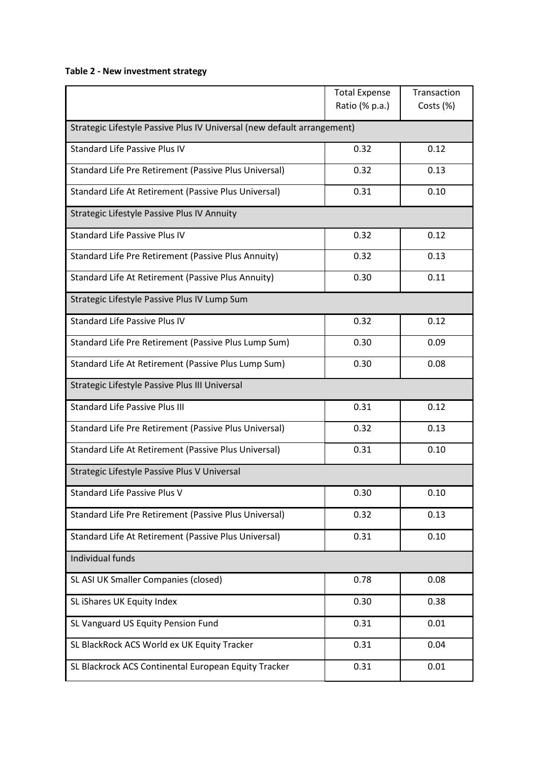# **Table 2 - New investment strategy**

|                                                                         | <b>Total Expense</b><br>Ratio (% p.a.) | Transaction<br>Costs (%) |  |  |  |  |
|-------------------------------------------------------------------------|----------------------------------------|--------------------------|--|--|--|--|
| Strategic Lifestyle Passive Plus IV Universal (new default arrangement) |                                        |                          |  |  |  |  |
| <b>Standard Life Passive Plus IV</b>                                    | 0.32                                   | 0.12                     |  |  |  |  |
| Standard Life Pre Retirement (Passive Plus Universal)                   | 0.32                                   | 0.13                     |  |  |  |  |
| Standard Life At Retirement (Passive Plus Universal)                    | 0.31                                   | 0.10                     |  |  |  |  |
| Strategic Lifestyle Passive Plus IV Annuity                             |                                        |                          |  |  |  |  |
| <b>Standard Life Passive Plus IV</b>                                    | 0.32                                   | 0.12                     |  |  |  |  |
| Standard Life Pre Retirement (Passive Plus Annuity)                     | 0.32                                   | 0.13                     |  |  |  |  |
| Standard Life At Retirement (Passive Plus Annuity)                      | 0.30                                   | 0.11                     |  |  |  |  |
| Strategic Lifestyle Passive Plus IV Lump Sum                            |                                        |                          |  |  |  |  |
| <b>Standard Life Passive Plus IV</b>                                    | 0.32                                   | 0.12                     |  |  |  |  |
| Standard Life Pre Retirement (Passive Plus Lump Sum)                    | 0.30                                   | 0.09                     |  |  |  |  |
| Standard Life At Retirement (Passive Plus Lump Sum)                     | 0.30                                   | 0.08                     |  |  |  |  |
| Strategic Lifestyle Passive Plus III Universal                          |                                        |                          |  |  |  |  |
| <b>Standard Life Passive Plus III</b>                                   | 0.31                                   | 0.12                     |  |  |  |  |
| Standard Life Pre Retirement (Passive Plus Universal)                   | 0.32                                   | 0.13                     |  |  |  |  |
| Standard Life At Retirement (Passive Plus Universal)                    | 0.31                                   | 0.10                     |  |  |  |  |
| Strategic Lifestyle Passive Plus V Universal                            |                                        |                          |  |  |  |  |
| Standard Life Passive Plus V                                            | 0.30                                   | 0.10                     |  |  |  |  |
| Standard Life Pre Retirement (Passive Plus Universal)                   | 0.32                                   | 0.13                     |  |  |  |  |
| Standard Life At Retirement (Passive Plus Universal)                    | 0.31                                   | 0.10                     |  |  |  |  |
| Individual funds                                                        |                                        |                          |  |  |  |  |
| SL ASI UK Smaller Companies (closed)                                    | 0.78                                   | 0.08                     |  |  |  |  |
| SL iShares UK Equity Index                                              | 0.30                                   | 0.38                     |  |  |  |  |
| SL Vanguard US Equity Pension Fund                                      | 0.31                                   | 0.01                     |  |  |  |  |
| SL BlackRock ACS World ex UK Equity Tracker                             | 0.31                                   | 0.04                     |  |  |  |  |
| SL Blackrock ACS Continental European Equity Tracker                    | 0.31                                   | 0.01                     |  |  |  |  |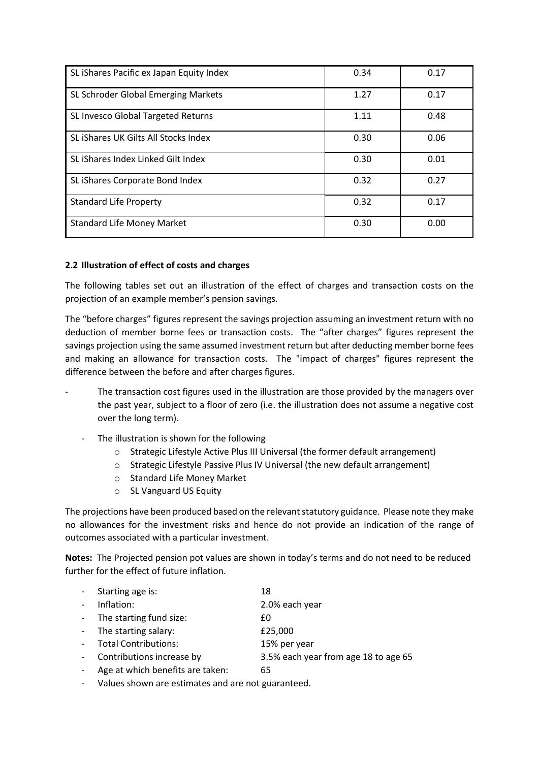| SL iShares Pacific ex Japan Equity Index | 0.34 | 0.17 |
|------------------------------------------|------|------|
| SL Schroder Global Emerging Markets      | 1.27 | 0.17 |
| SL Invesco Global Targeted Returns       | 1.11 | 0.48 |
| SL iShares UK Gilts All Stocks Index     | 0.30 | 0.06 |
| SL iShares Index Linked Gilt Index       | 0.30 | 0.01 |
| SL iShares Corporate Bond Index          | 0.32 | 0.27 |
| <b>Standard Life Property</b>            | 0.32 | 0.17 |
| <b>Standard Life Money Market</b>        | 0.30 | 0.00 |

### **2.2 Illustration of effect of costs and charges**

The following tables set out an illustration of the effect of charges and transaction costs on the projection of an example member's pension savings.

The "before charges" figures represent the savings projection assuming an investment return with no deduction of member borne fees or transaction costs. The "after charges" figures represent the savings projection using the same assumed investment return but after deducting member borne fees and making an allowance for transaction costs. The "impact of charges" figures represent the difference between the before and after charges figures.

- The transaction cost figures used in the illustration are those provided by the managers over the past year, subject to a floor of zero (i.e. the illustration does not assume a negative cost over the long term).
	- The illustration is shown for the following
		- o Strategic Lifestyle Active Plus III Universal (the former default arrangement)
		- o Strategic Lifestyle Passive Plus IV Universal (the new default arrangement)
		- o Standard Life Money Market
		- o SL Vanguard US Equity

The projections have been produced based on the relevant statutory guidance. Please note they make no allowances for the investment risks and hence do not provide an indication of the range of outcomes associated with a particular investment.

**Notes:** The Projected pension pot values are shown in today's terms and do not need to be reduced further for the effect of future inflation.

| - Starting age is:        | 18             |
|---------------------------|----------------|
| Inflation:                | 2.0% each year |
| - The starting fund size: | £Ω             |
| - The starting salary:    | £25,000        |
| - Total Contributions:    | 15% per year   |

- Contributions increase by 3.5% each year from age 18 to age 65
- Age at which benefits are taken: 65
- Values shown are estimates and are not guaranteed.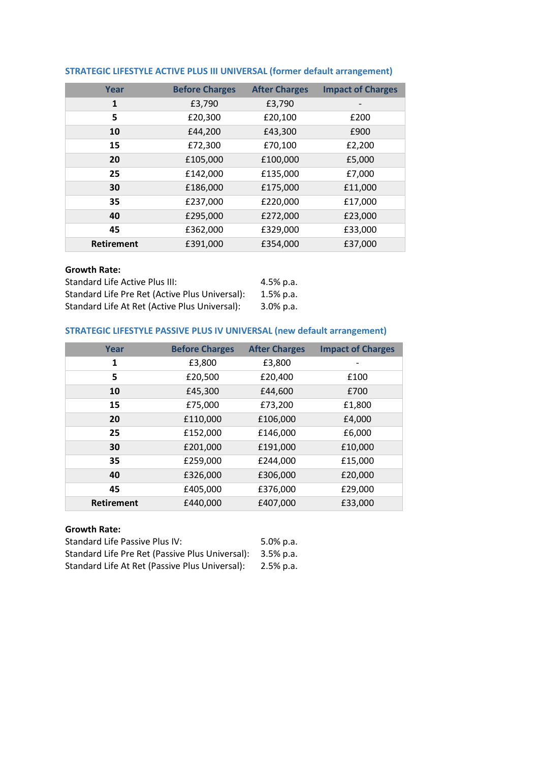| Year              | <b>Before Charges</b> | <b>After Charges</b> | <b>Impact of Charges</b> |
|-------------------|-----------------------|----------------------|--------------------------|
| 1                 | £3,790                | £3,790               |                          |
| 5                 | £20,300               | £20,100              | £200                     |
| 10                | £44,200               | £43,300              | £900                     |
| 15                | £72,300               | £70,100              | £2,200                   |
| 20                | £105,000              | £100,000             | £5,000                   |
| 25                | £142,000              | £135,000             | £7,000                   |
| 30                | £186,000              | £175,000             | £11,000                  |
| 35                | £237,000              | £220,000             | £17,000                  |
| 40                | £295,000              | £272,000             | £23,000                  |
| 45                | £362,000              | £329,000             | £33,000                  |
| <b>Retirement</b> | £391,000              | £354,000             | £37,000                  |

# **STRATEGIC LIFESTYLE ACTIVE PLUS III UNIVERSAL (former default arrangement)**

### **Growth Rate:**

| Standard Life Active Plus III:                 | $4.5\%$ p.a. |
|------------------------------------------------|--------------|
| Standard Life Pre Ret (Active Plus Universal): | $1.5%$ p.a.  |
| Standard Life At Ret (Active Plus Universal):  | $3.0\%$ p.a. |

## **STRATEGIC LIFESTYLE PASSIVE PLUS IV UNIVERSAL (new default arrangement)**

| Year              | <b>Before Charges</b> | <b>After Charges</b> | <b>Impact of Charges</b> |
|-------------------|-----------------------|----------------------|--------------------------|
| 1                 | £3,800                | £3,800               |                          |
| 5                 | £20,500               | £20,400              | £100                     |
| 10                | £45,300               | £44,600              | £700                     |
| 15                | £75,000               | £73,200              | £1,800                   |
| 20                | £110,000              | £106,000             | £4,000                   |
| 25                | £152,000              | £146,000             | £6,000                   |
| 30                | £201,000              | £191,000             | £10,000                  |
| 35                | £259,000              | £244,000             | £15,000                  |
| 40                | £326,000              | £306,000             | £20,000                  |
| 45                | £405,000              | £376,000             | £29,000                  |
| <b>Retirement</b> | £440,000              | £407,000             | £33,000                  |

## **Growth Rate:**

| Standard Life Passive Plus IV:                  | $5.0\%$ p.a. |
|-------------------------------------------------|--------------|
| Standard Life Pre Ret (Passive Plus Universal): | 3.5% p.a.    |
| Standard Life At Ret (Passive Plus Universal):  | 2.5% p.a.    |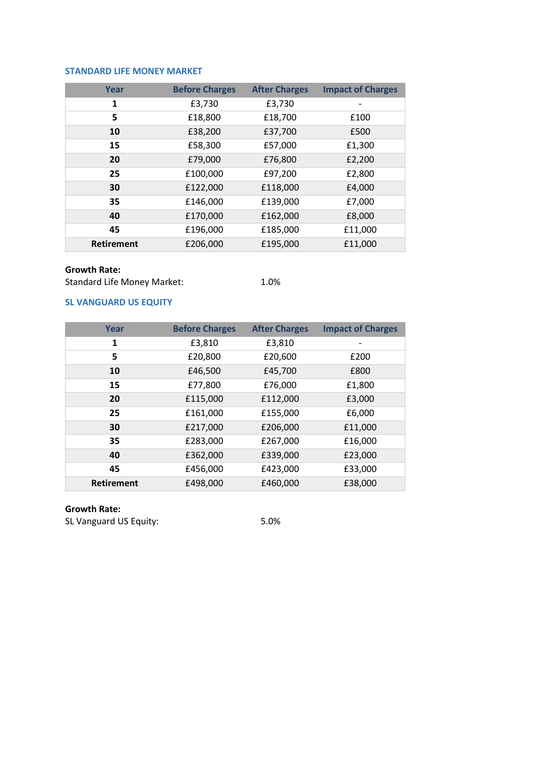### **STANDARD LIFE MONEY MARKET**

| Year              | <b>Before Charges</b> | <b>After Charges</b> | <b>Impact of Charges</b> |
|-------------------|-----------------------|----------------------|--------------------------|
| 1                 | £3,730                | £3,730               |                          |
| 5                 | £18,800               | £18,700              | £100                     |
| 10                | £38,200               | £37,700              | £500                     |
| 15                | £58,300               | £57,000              | £1,300                   |
| 20                | £79,000               | £76,800              | £2,200                   |
| 25                | £100,000              | £97,200              | £2,800                   |
| 30                | £122,000              | £118,000             | £4,000                   |
| 35                | £146,000              | £139,000             | £7,000                   |
| 40                | £170,000              | £162,000             | £8,000                   |
| 45                | £196,000              | £185,000             | £11,000                  |
| <b>Retirement</b> | £206,000              | £195,000             | £11,000                  |

### **Growth Rate:**

Standard Life Money Market: 1.0%

## **SL VANGUARD US EQUITY**

| Year              | <b>Before Charges</b> | <b>After Charges</b> | <b>Impact of Charges</b> |
|-------------------|-----------------------|----------------------|--------------------------|
| 1                 | £3,810                | £3,810               |                          |
| 5                 | £20,800               | £20,600              | £200                     |
| 10                | £46,500               | £45,700              | £800                     |
| 15                | £77,800               | £76,000              | £1,800                   |
| 20                | £115,000              | £112,000             | £3,000                   |
| 25                | £161,000              | £155,000             | £6,000                   |
| 30                | £217,000              | £206,000             | £11,000                  |
| 35                | £283,000              | £267,000             | £16,000                  |
| 40                | £362,000              | £339,000             | £23,000                  |
| 45                | £456,000              | £423,000             | £33,000                  |
| <b>Retirement</b> | £498,000              | £460,000             | £38,000                  |

### **Growth Rate:**

SL Vanguard US Equity: 5.0%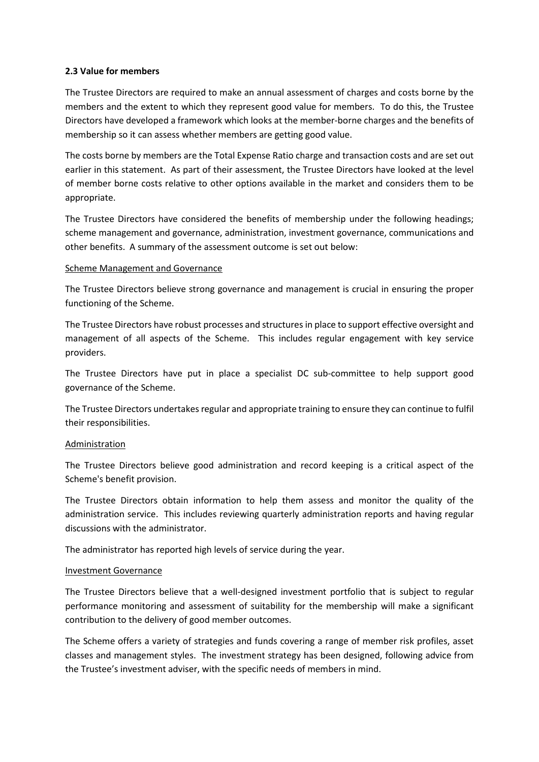### **2.3 Value for members**

The Trustee Directors are required to make an annual assessment of charges and costs borne by the members and the extent to which they represent good value for members. To do this, the Trustee Directors have developed a framework which looks at the member-borne charges and the benefits of membership so it can assess whether members are getting good value.

The costs borne by members are the Total Expense Ratio charge and transaction costs and are set out earlier in this statement. As part of their assessment, the Trustee Directors have looked at the level of member borne costs relative to other options available in the market and considers them to be appropriate.

The Trustee Directors have considered the benefits of membership under the following headings; scheme management and governance, administration, investment governance, communications and other benefits. A summary of the assessment outcome is set out below:

#### Scheme Management and Governance

The Trustee Directors believe strong governance and management is crucial in ensuring the proper functioning of the Scheme.

The Trustee Directors have robust processes and structures in place to support effective oversight and management of all aspects of the Scheme. This includes regular engagement with key service providers.

The Trustee Directors have put in place a specialist DC sub-committee to help support good governance of the Scheme.

The Trustee Directors undertakes regular and appropriate training to ensure they can continue to fulfil their responsibilities.

### Administration

The Trustee Directors believe good administration and record keeping is a critical aspect of the Scheme's benefit provision.

The Trustee Directors obtain information to help them assess and monitor the quality of the administration service. This includes reviewing quarterly administration reports and having regular discussions with the administrator.

The administrator has reported high levels of service during the year.

#### Investment Governance

The Trustee Directors believe that a well-designed investment portfolio that is subject to regular performance monitoring and assessment of suitability for the membership will make a significant contribution to the delivery of good member outcomes.

The Scheme offers a variety of strategies and funds covering a range of member risk profiles, asset classes and management styles. The investment strategy has been designed, following advice from the Trustee's investment adviser, with the specific needs of members in mind.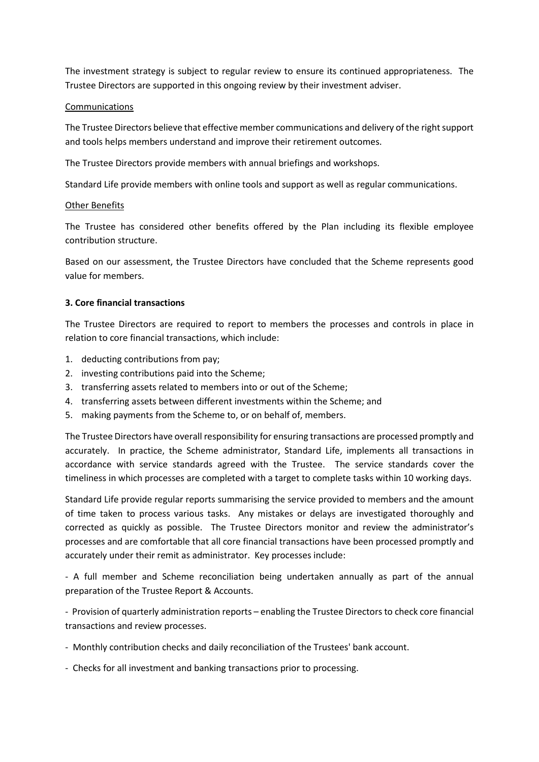The investment strategy is subject to regular review to ensure its continued appropriateness. The Trustee Directors are supported in this ongoing review by their investment adviser.

#### Communications

The Trustee Directors believe that effective member communications and delivery of the right support and tools helps members understand and improve their retirement outcomes.

The Trustee Directors provide members with annual briefings and workshops.

Standard Life provide members with online tools and support as well as regular communications.

#### Other Benefits

The Trustee has considered other benefits offered by the Plan including its flexible employee contribution structure.

Based on our assessment, the Trustee Directors have concluded that the Scheme represents good value for members.

### **3. Core financial transactions**

The Trustee Directors are required to report to members the processes and controls in place in relation to core financial transactions, which include:

- 1. deducting contributions from pay;
- 2. investing contributions paid into the Scheme;
- 3. transferring assets related to members into or out of the Scheme;
- 4. transferring assets between different investments within the Scheme; and
- 5. making payments from the Scheme to, or on behalf of, members.

The Trustee Directors have overall responsibility for ensuring transactions are processed promptly and accurately. In practice, the Scheme administrator, Standard Life, implements all transactions in accordance with service standards agreed with the Trustee. The service standards cover the timeliness in which processes are completed with a target to complete tasks within 10 working days.

Standard Life provide regular reports summarising the service provided to members and the amount of time taken to process various tasks. Any mistakes or delays are investigated thoroughly and corrected as quickly as possible. The Trustee Directors monitor and review the administrator's processes and are comfortable that all core financial transactions have been processed promptly and accurately under their remit as administrator. Key processes include:

- A full member and Scheme reconciliation being undertaken annually as part of the annual preparation of the Trustee Report & Accounts.

- Provision of quarterly administration reports – enabling the Trustee Directors to check core financial transactions and review processes.

- Monthly contribution checks and daily reconciliation of the Trustees' bank account.
- Checks for all investment and banking transactions prior to processing.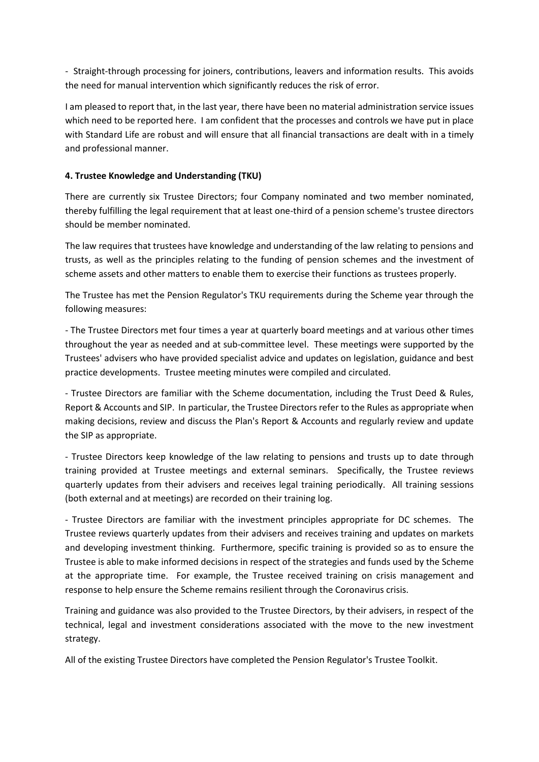- Straight-through processing for joiners, contributions, leavers and information results. This avoids the need for manual intervention which significantly reduces the risk of error.

I am pleased to report that, in the last year, there have been no material administration service issues which need to be reported here. I am confident that the processes and controls we have put in place with Standard Life are robust and will ensure that all financial transactions are dealt with in a timely and professional manner.

## **4. Trustee Knowledge and Understanding (TKU)**

There are currently six Trustee Directors; four Company nominated and two member nominated, thereby fulfilling the legal requirement that at least one-third of a pension scheme's trustee directors should be member nominated.

The law requires that trustees have knowledge and understanding of the law relating to pensions and trusts, as well as the principles relating to the funding of pension schemes and the investment of scheme assets and other matters to enable them to exercise their functions as trustees properly.

The Trustee has met the Pension Regulator's TKU requirements during the Scheme year through the following measures:

- The Trustee Directors met four times a year at quarterly board meetings and at various other times throughout the year as needed and at sub-committee level. These meetings were supported by the Trustees' advisers who have provided specialist advice and updates on legislation, guidance and best practice developments. Trustee meeting minutes were compiled and circulated.

- Trustee Directors are familiar with the Scheme documentation, including the Trust Deed & Rules, Report & Accounts and SIP. In particular, the Trustee Directors refer to the Rules as appropriate when making decisions, review and discuss the Plan's Report & Accounts and regularly review and update the SIP as appropriate.

- Trustee Directors keep knowledge of the law relating to pensions and trusts up to date through training provided at Trustee meetings and external seminars. Specifically, the Trustee reviews quarterly updates from their advisers and receives legal training periodically. All training sessions (both external and at meetings) are recorded on their training log.

- Trustee Directors are familiar with the investment principles appropriate for DC schemes. The Trustee reviews quarterly updates from their advisers and receives training and updates on markets and developing investment thinking. Furthermore, specific training is provided so as to ensure the Trustee is able to make informed decisions in respect of the strategies and funds used by the Scheme at the appropriate time. For example, the Trustee received training on crisis management and response to help ensure the Scheme remains resilient through the Coronavirus crisis.

Training and guidance was also provided to the Trustee Directors, by their advisers, in respect of the technical, legal and investment considerations associated with the move to the new investment strategy.

All of the existing Trustee Directors have completed the Pension Regulator's Trustee Toolkit.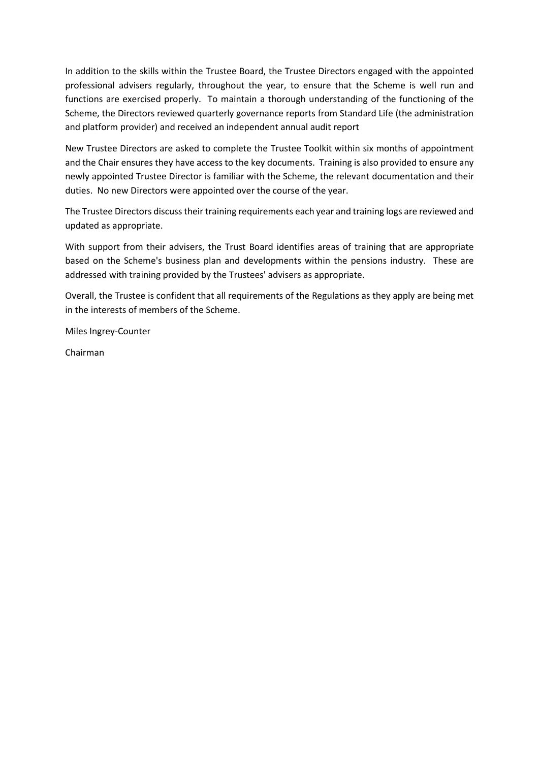In addition to the skills within the Trustee Board, the Trustee Directors engaged with the appointed professional advisers regularly, throughout the year, to ensure that the Scheme is well run and functions are exercised properly. To maintain a thorough understanding of the functioning of the Scheme, the Directors reviewed quarterly governance reports from Standard Life (the administration and platform provider) and received an independent annual audit report

New Trustee Directors are asked to complete the Trustee Toolkit within six months of appointment and the Chair ensures they have access to the key documents. Training is also provided to ensure any newly appointed Trustee Director is familiar with the Scheme, the relevant documentation and their duties. No new Directors were appointed over the course of the year.

The Trustee Directors discuss their training requirements each year and training logs are reviewed and updated as appropriate.

With support from their advisers, the Trust Board identifies areas of training that are appropriate based on the Scheme's business plan and developments within the pensions industry. These are addressed with training provided by the Trustees' advisers as appropriate.

Overall, the Trustee is confident that all requirements of the Regulations as they apply are being met in the interests of members of the Scheme.

Miles Ingrey-Counter

Chairman